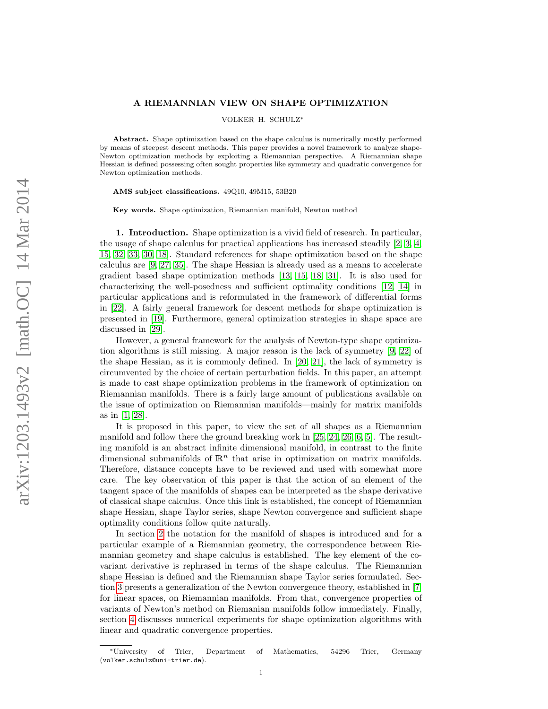## A RIEMANNIAN VIEW ON SHAPE OPTIMIZATION

VOLKER H. SCHULZ<sup>∗</sup>

Abstract. Shape optimization based on the shape calculus is numerically mostly performed by means of steepest descent methods. This paper provides a novel framework to analyze shape-Newton optimization methods by exploiting a Riemannian perspective. A Riemannian shape Hessian is defined possessing often sought properties like symmetry and quadratic convergence for Newton optimization methods.

AMS subject classifications. 49Q10, 49M15, 53B20

Key words. Shape optimization, Riemannian manifold, Newton method

1. Introduction. Shape optimization is a vivid field of research. In particular, the usage of shape calculus for practical applications has increased steadily [\[2,](#page-13-0) [3,](#page-13-1) [4,](#page-13-2) [15,](#page-13-3) [32,](#page-14-0) [33,](#page-14-1) [30,](#page-14-2) [18\]](#page-13-4). Standard references for shape optimization based on the shape calculus are [\[9,](#page-13-5) [27,](#page-14-3) [35\]](#page-14-4). The shape Hessian is already used as a means to accelerate gradient based shape optimization methods [\[13,](#page-13-6) [15,](#page-13-3) [18,](#page-13-4) [31\]](#page-14-5). It is also used for characterizing the well-posedness and sufficient optimality conditions [\[12,](#page-13-7) [14\]](#page-13-8) in particular applications and is reformulated in the framework of differential forms in [\[22\]](#page-13-9). A fairly general framework for descent methods for shape optimization is presented in [\[19\]](#page-13-10). Furthermore, general optimization strategies in shape space are discussed in [\[29\]](#page-14-6).

However, a general framework for the analysis of Newton-type shape optimization algorithms is still missing. A major reason is the lack of symmetry [\[9,](#page-13-5) [22\]](#page-13-9) of the shape Hessian, as it is commonly defined. In [\[20,](#page-13-11) [21\]](#page-13-12), the lack of symmetry is circumvented by the choice of certain perturbation fields. In this paper, an attempt is made to cast shape optimization problems in the framework of optimization on Riemannian manifolds. There is a fairly large amount of publications available on the issue of optimization on Riemannian manifolds—mainly for matrix manifolds as in [\[1,](#page-13-13) [28\]](#page-14-7).

It is proposed in this paper, to view the set of all shapes as a Riemannian manifold and follow there the ground breaking work in [\[25,](#page-13-14) [24,](#page-13-15) [26,](#page-13-16) [6,](#page-13-17) [5\]](#page-13-18). The resulting manifold is an abstract infinite dimensional manifold, in contrast to the finite dimensional submanifolds of  $\mathbb{R}^n$  that arise in optimization on matrix manifolds. Therefore, distance concepts have to be reviewed and used with somewhat more care. The key observation of this paper is that the action of an element of the tangent space of the manifolds of shapes can be interpreted as the shape derivative of classical shape calculus. Once this link is established, the concept of Riemannian shape Hessian, shape Taylor series, shape Newton convergence and sufficient shape optimality conditions follow quite naturally.

In section [2](#page-1-0) the notation for the manifold of shapes is introduced and for a particular example of a Riemannian geometry, the correspondence between Riemannian geometry and shape calculus is established. The key element of the covariant derivative is rephrased in terms of the shape calculus. The Riemannian shape Hessian is defined and the Riemannian shape Taylor series formulated. Section [3](#page-6-0) presents a generalization of the Newton convergence theory, established in [\[7\]](#page-13-19) for linear spaces, on Riemannian manifolds. From that, convergence properties of variants of Newton's method on Riemanian manifolds follow immediately. Finally, section [4](#page-10-0) discusses numerical experiments for shape optimization algorithms with linear and quadratic convergence properties.

<sup>∗</sup>University of Trier, Department of Mathematics, 54296 Trier, Germany (volker.schulz@uni-trier.de).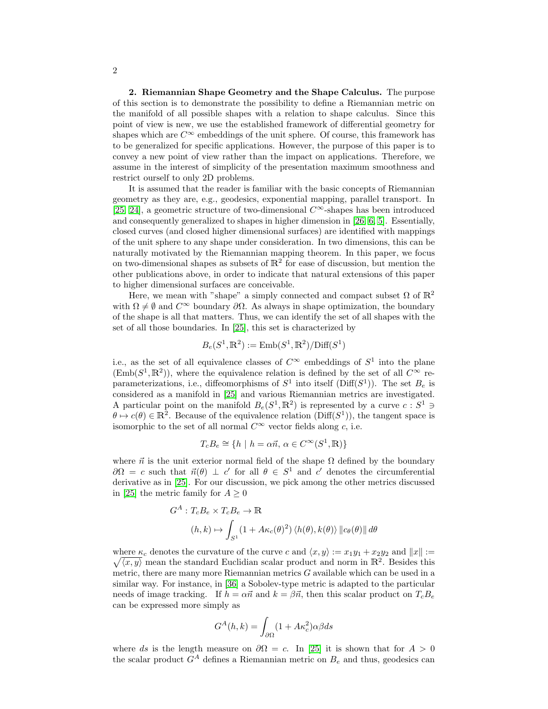<span id="page-1-0"></span>2. Riemannian Shape Geometry and the Shape Calculus. The purpose of this section is to demonstrate the possibility to define a Riemannian metric on the manifold of all possible shapes with a relation to shape calculus. Since this point of view is new, we use the established framework of differential geometry for shapes which are  $C^{\infty}$  embeddings of the unit sphere. Of course, this framework has to be generalized for specific applications. However, the purpose of this paper is to convey a new point of view rather than the impact on applications. Therefore, we assume in the interest of simplicity of the presentation maximum smoothness and restrict ourself to only 2D problems.

It is assumed that the reader is familiar with the basic concepts of Riemannian geometry as they are, e.g., geodesics, exponential mapping, parallel transport. In [\[25,](#page-13-14) [24\]](#page-13-15), a geometric structure of two-dimensional  $C^{\infty}$ -shapes has been introduced and consequently generalized to shapes in higher dimension in [\[26,](#page-13-16) [6,](#page-13-17) [5\]](#page-13-18). Essentially, closed curves (and closed higher dimensional surfaces) are identified with mappings of the unit sphere to any shape under consideration. In two dimensions, this can be naturally motivated by the Riemannian mapping theorem. In this paper, we focus on two-dimensional shapes as subsets of  $\mathbb{R}^2$  for ease of discussion, but mention the other publications above, in order to indicate that natural extensions of this paper to higher dimensional surfaces are conceivable.

Here, we mean with "shape" a simply connected and compact subset  $\Omega$  of  $\mathbb{R}^2$ with  $\Omega \neq \emptyset$  and  $C^{\infty}$  boundary  $\partial \Omega$ . As always in shape optimization, the boundary of the shape is all that matters. Thus, we can identify the set of all shapes with the set of all those boundaries. In [\[25\]](#page-13-14), this set is characterized by

$$
B_e(S^1, \mathbb{R}^2) := \text{Emb}(S^1, \mathbb{R}^2) / \text{Diff}(S^1)
$$

i.e., as the set of all equivalence classes of  $C^{\infty}$  embeddings of  $S^1$  into the plane  $(\text{Emb}(S^1, \mathbb{R}^2))$ , where the equivalence relation is defined by the set of all  $C^{\infty}$  reparameterizations, i.e., diffeomorphisms of  $S^1$  into itself (Diff( $S^1$ )). The set  $B_e$  is considered as a manifold in [\[25\]](#page-13-14) and various Riemannian metrics are investigated. A particular point on the manifold  $B_e(S^1, \mathbb{R}^2)$  is represented by a curve  $c : S^1 \ni$  $\theta \mapsto c(\theta) \in \mathbb{R}^2$ . Because of the equivalence relation (Diff(S<sup>1</sup>)), the tangent space is isomorphic to the set of all normal  $C^{\infty}$  vector fields along c, i.e.

$$
T_c B_e \cong \{ h \mid h = \alpha \vec{n}, \, \alpha \in C^{\infty}(S^1, \mathbb{R}) \}
$$

where  $\vec{n}$  is the unit exterior normal field of the shape  $\Omega$  defined by the boundary  $\partial\Omega = c$  such that  $\vec{n}(\theta) \perp c'$  for all  $\theta \in S^1$  and c' denotes the circumferential derivative as in [\[25\]](#page-13-14). For our discussion, we pick among the other metrics discussed in [\[25\]](#page-13-14) the metric family for  $A > 0$ 

$$
G^{A}: T_{c}B_{e} \times T_{c}B_{e} \to \mathbb{R}
$$
  

$$
(h,k) \mapsto \int_{S^{1}} (1 + A\kappa_{c}(\theta)^{2}) \langle h(\theta), k(\theta) \rangle ||c_{\theta}(\theta)|| d\theta
$$

where  $\kappa_c$  denotes the curvature of the curve c and  $\langle x, y \rangle := x_1y_1 + x_2y_2$  and  $||x|| :=$  $\sqrt{\langle x, y \rangle}$  mean the standard Euclidian scalar product and norm in  $\mathbb{R}^2$ . Besides this metric, there are many more Riemannian metrics  $G$  available which can be used in a similar way. For instance, in [\[36\]](#page-14-8) a Sobolev-type metric is adapted to the particular needs of image tracking. If  $h = \alpha \vec{n}$  and  $k = \beta \vec{n}$ , then this scalar product on  $T_cB_e$ can be expressed more simply as

$$
G^{A}(h,k) = \int_{\partial\Omega} (1 + A\kappa_c^2)\alpha\beta ds
$$

where ds is the length measure on  $\partial\Omega = c$ . In [\[25\]](#page-13-14) it is shown that for  $A > 0$ the scalar product  $G^A$  defines a Riemannian metric on  $B_e$  and thus, geodesics can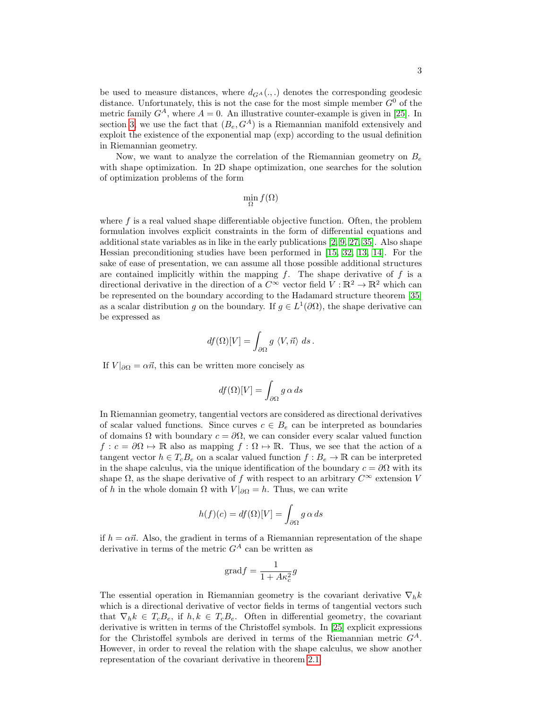be used to measure distances, where  $d_{G^A}(.,.)$  denotes the corresponding geodesic distance. Unfortunately, this is not the case for the most simple member  $G^0$  of the metric family  $G^A$ , where  $A = 0$ . An illustrative counter-example is given in [\[25\]](#page-13-14). In section [3,](#page-6-0) we use the fact that  $(B_e, G^A)$  is a Riemannian manifold extensively and exploit the existence of the exponential map (exp) according to the usual definition in Riemannian geometry.

Now, we want to analyze the correlation of the Riemannian geometry on  $B_e$ with shape optimization. In 2D shape optimization, one searches for the solution of optimization problems of the form

$$
\min_{\Omega} f(\Omega)
$$

where  $f$  is a real valued shape differentiable objective function. Often, the problem formulation involves explicit constraints in the form of differential equations and additional state variables as in like in the early publications [\[2,](#page-13-0) [9,](#page-13-5) [27,](#page-14-3) [35\]](#page-14-4). Also shape Hessian preconditioning studies have been performed in [\[15,](#page-13-3) [32,](#page-14-0) [13,](#page-13-6) [14\]](#page-13-8). For the sake of ease of presentation, we can assume all those possible additional structures are contained implicitly within the mapping  $f$ . The shape derivative of  $f$  is a directional derivative in the direction of a  $C^{\infty}$  vector field  $V : \mathbb{R}^2 \to \mathbb{R}^2$  which can be represented on the boundary according to the Hadamard structure theorem [\[35\]](#page-14-4) as a scalar distribution g on the boundary. If  $g \in L^1(\partial\Omega)$ , the shape derivative can be expressed as

$$
df(\Omega)[V] = \int_{\partial\Omega} g \langle V, \vec{n} \rangle ds.
$$

If  $V|_{\partial\Omega} = \alpha \vec{n}$ , this can be written more concisely as

$$
df(\Omega)[V] = \int_{\partial\Omega} g \alpha \, ds
$$

In Riemannian geometry, tangential vectors are considered as directional derivatives of scalar valued functions. Since curves  $c \in B_e$  can be interpreted as boundaries of domains  $\Omega$  with boundary  $c = \partial \Omega$ , we can consider every scalar valued function  $f: c = \partial \Omega \mapsto \mathbb{R}$  also as mapping  $f: \Omega \mapsto \mathbb{R}$ . Thus, we see that the action of a tangent vector  $h \in T_cB_e$  on a scalar valued function  $f : B_e \to \mathbb{R}$  can be interpreted in the shape calculus, via the unique identification of the boundary  $c = \partial \Omega$  with its shape  $\Omega$ , as the shape derivative of f with respect to an arbitrary  $C^{\infty}$  extension V of h in the whole domain  $\Omega$  with  $V|_{\partial\Omega} = h$ . Thus, we can write

$$
h(f)(c) = df(\Omega)[V] = \int_{\partial\Omega} g \alpha \, ds
$$

if  $h = \alpha \vec{n}$ . Also, the gradient in terms of a Riemannian representation of the shape derivative in terms of the metric  $G^A$  can be written as

<span id="page-2-0"></span>
$$
\mathrm{grad} f = \frac{1}{1 + A\kappa_c^2}g
$$

The essential operation in Riemannian geometry is the covariant derivative  $\nabla_h k$ which is a directional derivative of vector fields in terms of tangential vectors such that  $\nabla_h k \in T_c B_e$ , if  $h, k \in T_c B_e$ . Often in differential geometry, the covariant derivative is written in terms of the Christoffel symbols. In [\[25\]](#page-13-14) explicit expressions for the Christoffel symbols are derived in terms of the Riemannian metric  $G<sup>A</sup>$ . However, in order to reveal the relation with the shape calculus, we show another representation of the covariant derivative in theorem [2.1.](#page-2-0)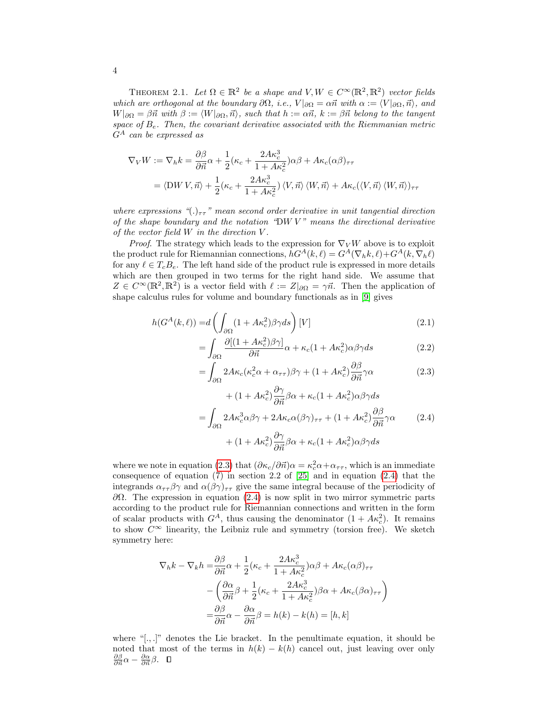THEOREM 2.1. Let  $\Omega \in \mathbb{R}^2$  be a shape and  $V, W \in C^\infty(\mathbb{R}^2, \mathbb{R}^2)$  vector fields which are orthogonal at the boundary  $\partial\Omega$ , i.e.,  $V|_{\partial\Omega} = \alpha \vec{n}$  with  $\alpha := \langle V|_{\partial\Omega}, \vec{n} \rangle$ , and  $W|_{\partial\Omega} = \beta \vec{n}$  with  $\beta := \langle W|_{\partial\Omega}, \vec{n} \rangle$ , such that  $h := \alpha \vec{n}$ ,  $k := \beta \vec{n}$  belong to the tangent space of  $B_e$ . Then, the covariant derivative associated with the Riemmanian metric  $G^A$  can be expressed as

$$
\nabla_V W := \nabla_h k = \frac{\partial \beta}{\partial \vec{n}} \alpha + \frac{1}{2} (\kappa_c + \frac{2A\kappa_c^3}{1 + A\kappa_c^2}) \alpha \beta + A\kappa_c (\alpha \beta)_{\tau \tau}
$$
  
=  $\langle \text{DW } V, \vec{n} \rangle + \frac{1}{2} (\kappa_c + \frac{2A\kappa_c^3}{1 + A\kappa_c^2}) \langle V, \vec{n} \rangle \langle W, \vec{n} \rangle + A\kappa_c (\langle V, \vec{n} \rangle \langle W, \vec{n} \rangle)_{\tau \tau}$ 

where expressions " $(.)_{\tau\tau}$ " mean second order derivative in unit tangential direction of the shape boundary and the notation "DW  $V$ " means the directional derivative of the vector field  $W$  in the direction  $V$ .

*Proof.* The strategy which leads to the expression for  $\nabla_V W$  above is to exploit the product rule for Riemannian connections,  $hG^{A}(k, \ell) = G^{A}(\nabla_{h}k, \ell) + G^{A}(k, \nabla_{h}\ell)$ for any  $\ell \in T_cB_e$ . The left hand side of the product rule is expressed in more details which are then grouped in two terms for the right hand side. We assume that  $Z \in C^{\infty}(\mathbb{R}^2, \mathbb{R}^2)$  is a vector field with  $\ell := Z|_{\partial\Omega} = \gamma \vec{n}$ . Then the application of shape calculus rules for volume and boundary functionals as in [\[9\]](#page-13-5) gives

$$
h(G^{A}(k,\ell)) = d\left(\int_{\partial\Omega} (1 + A\kappa_c^2) \beta \gamma ds\right)[V] \tag{2.1}
$$

$$
= \int_{\partial\Omega} \frac{\partial [(1 + A\kappa_c^2)\beta\gamma]}{\partial \vec{n}} \alpha + \kappa_c (1 + A\kappa_c^2) \alpha \beta \gamma ds \tag{2.2}
$$

<span id="page-3-1"></span><span id="page-3-0"></span>
$$
= \int_{\partial\Omega} 2A\kappa_c(\kappa_c^2 \alpha + \alpha_{\tau\tau})\beta\gamma + (1 + A\kappa_c^2) \frac{\partial \beta}{\partial \vec{n}}\gamma \alpha \tag{2.3}
$$

$$
+ (1 + A\kappa_c^2) \frac{\partial \gamma}{\partial \vec{n}} \beta \alpha + \kappa_c (1 + A\kappa_c^2) \alpha \beta \gamma ds
$$
  
= 
$$
\int_{\partial \Omega} 2 A \kappa_c^3 \alpha \beta \gamma + 2 A \kappa_c \alpha (\beta \gamma)_{\tau \tau} + (1 + A \kappa_c^2) \frac{\partial \beta}{\partial \vec{n}} \gamma \alpha
$$
 (2.4)  
+ 
$$
(1 + A \kappa_c^2) \frac{\partial \gamma}{\partial \vec{n}} \beta \alpha + \kappa_c (1 + A \kappa_c^2) \alpha \beta \gamma ds
$$

where we note in equation [\(2.3\)](#page-3-0) that  $(\partial \kappa_c/\partial \vec{n})\alpha = \kappa_c^2 \alpha + \alpha_{\tau\tau}$ , which is an immediate consequence of equation  $(7)$  in section 2.2 of  $[25]$  and in equation  $(2.4)$  that the integrands  $\alpha_{\tau\tau}\beta\gamma$  and  $\alpha(\beta\gamma)_{\tau\tau}$  give the same integral because of the periodicity of  $\partial Ω$ . The expression in equation [\(2.4\)](#page-3-1) is now split in two mirror symmetric parts according to the product rule for Riemannian connections and written in the form of scalar products with  $G^A$ , thus causing the denominator  $(1 + Ak_c^2)$ . It remains to show  $C^{\infty}$  linearity, the Leibniz rule and symmetry (torsion free). We sketch symmetry here:

$$
\nabla_h k - \nabla_k h = \frac{\partial \beta}{\partial \vec{n}} \alpha + \frac{1}{2} (\kappa_c + \frac{2A\kappa_c^3}{1 + A\kappa_c^2}) \alpha \beta + A\kappa_c (\alpha \beta)_{\tau \tau}
$$

$$
- \left( \frac{\partial \alpha}{\partial \vec{n}} \beta + \frac{1}{2} (\kappa_c + \frac{2A\kappa_c^3}{1 + A\kappa_c^2}) \beta \alpha + A\kappa_c (\beta \alpha)_{\tau \tau} \right)
$$

$$
= \frac{\partial \beta}{\partial \vec{n}} \alpha - \frac{\partial \alpha}{\partial \vec{n}} \beta = h(k) - k(h) = [h, k]
$$

where " $[.,.]$ " denotes the Lie bracket. In the penultimate equation, it should be noted that most of the terms in  $h(k) - k(h)$  cancel out, just leaving over only  $\frac{\partial \beta}{\partial \vec{n}} \alpha - \frac{\partial \alpha}{\partial \vec{n}} \beta.$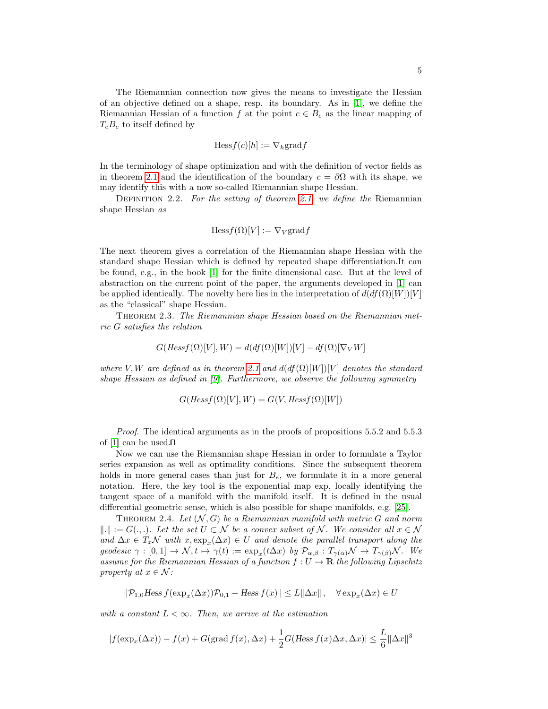The Riemannian connection now gives the means to investigate the Hessian of an objective defined on a shape, resp. its boundary. As in [\[1\]](#page-13-13), we define the Riemannian Hessian of a function f at the point  $c \in B_e$  as the linear mapping of  $T_cB_e$  to itself defined by

$$
\text{Hess} f(c)[h] := \nabla_h \text{grad} f
$$

In the terminology of shape optimization and with the definition of vector fields as in theorem [2.1](#page-2-0) and the identification of the boundary  $c = \partial \Omega$  with its shape, we may identify this with a now so-called Riemannian shape Hessian.

DEFINITION 2.2. For the setting of theorem [2.1,](#page-2-0) we define the Riemannian shape Hessian as

<span id="page-4-1"></span>
$$
\text{Hess} f(\Omega)[V] := \nabla_V \text{grad} f
$$

The next theorem gives a correlation of the Riemannian shape Hessian with the standard shape Hessian which is defined by repeated shape differentiation.It can be found, e.g., in the book [\[1\]](#page-13-13) for the finite dimensional case. But at the level of abstraction on the current point of the paper, the arguments developed in [\[1\]](#page-13-13) can be applied identically. The novelty here lies in the interpretation of  $d(df(\Omega)[W])[V]$ as the "classical" shape Hessian.

Theorem 2.3. The Riemannian shape Hessian based on the Riemannian metric G satisfies the relation

$$
G(Hess f(\Omega)[V], W) = d(df(\Omega)[W])[V] - df(\Omega)[\nabla_V W]
$$

where V, W are defined as in theorem [2.1](#page-2-0) and  $d(df(\Omega)[W])[V]$  denotes the standard shape Hessian as defined in [\[9\]](#page-13-5). Furthermore, we observe the following symmetry

$$
G(Hessf(\Omega)[V], W) = G(V, Hessf(\Omega)[W])
$$

Proof. The identical arguments as in the proofs of propositions 5.5.2 and 5.5.3 of  $[1]$  can be used. $\square$ 

Now we can use the Riemannian shape Hessian in order to formulate a Taylor series expansion as well as optimality conditions. Since the subsequent theorem holds in more general cases than just for  $B<sub>e</sub>$ , we formulate it in a more general notation. Here, the key tool is the exponential map exp, locally identifying the tangent space of a manifold with the manifold itself. It is defined in the usual differential geometric sense, which is also possible for shape manifolds, e.g. [\[25\]](#page-13-14).

<span id="page-4-0"></span>THEOREM 2.4. Let  $(N, G)$  be a Riemannian manifold with metric G and norm  $\|.\| := G(., .).$  Let the set  $U \subset \mathcal{N}$  be a convex subset of N. We consider all  $x \in \mathcal{N}$ and  $\Delta x \in T_x\mathcal{N}$  with  $x, \exp_x(\Delta x) \in U$  and denote the parallel transport along the geodesic  $\gamma : [0,1] \to \mathcal{N}, t \mapsto \gamma(t) := \exp_x(t\Delta x)$  by  $\mathcal{P}_{\alpha,\beta} : T_{\gamma(\alpha)}\mathcal{N} \to T_{\gamma(\beta)}\mathcal{N}$ . We assume for the Riemannian Hessian of a function  $f: U \to \mathbb{R}$  the following Lipschitz property at  $x \in \mathcal{N}$ :

 $\|\mathcal{P}_{1,0}H\text{ess }f(\exp_x(\Delta x))\mathcal{P}_{0,1} - \text{Hess }f(x)\| \leq L\|\Delta x\|, \quad \forall \exp_x(\Delta x) \in U$ 

with a constant  $L < \infty$ . Then, we arrive at the estimation

$$
|f(\exp_x(\Delta x)) - f(x) + G(\text{grad } f(x), \Delta x) + \frac{1}{2}G(H\text{ess } f(x)\Delta x, \Delta x)| \le \frac{L}{6} ||\Delta x||^3
$$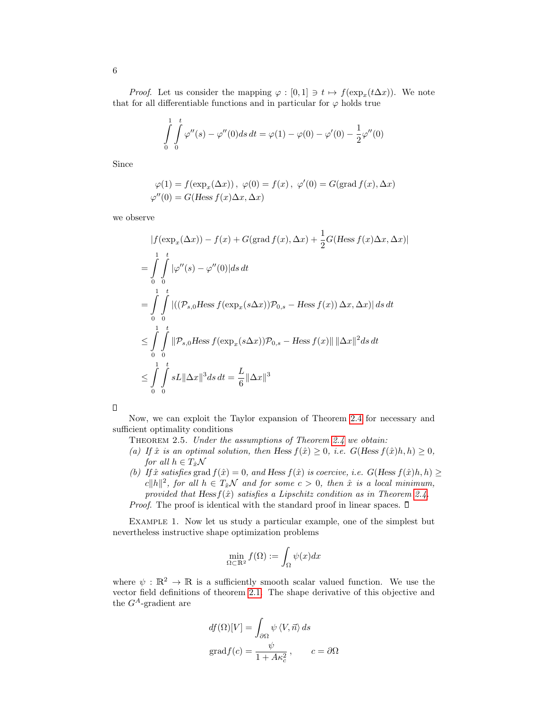*Proof.* Let us consider the mapping  $\varphi : [0,1] \ni t \mapsto f(\exp_x(t\Delta x))$ . We note that for all differentiable functions and in particular for  $\varphi$  holds true

$$
\int_{0}^{1} \int_{0}^{t} \varphi''(s) - \varphi''(0)ds dt = \varphi(1) - \varphi(0) - \varphi'(0) - \frac{1}{2}\varphi''(0)
$$

Since

$$
\varphi(1) = f(\exp_x(\Delta x)), \ \varphi(0) = f(x), \ \varphi'(0) = G(\text{grad } f(x), \Delta x)
$$

$$
\varphi''(0) = G(\text{Hess } f(x) \Delta x, \Delta x)
$$

we observe

$$
|f(\exp_x(\Delta x)) - f(x) + G(\text{grad } f(x), \Delta x) + \frac{1}{2}G(Hess f(x)\Delta x, \Delta x)|
$$
  
\n
$$
= \int_0^1 \int_0^t |\varphi''(s) - \varphi''(0)| ds dt
$$
  
\n
$$
= \int_0^1 \int_0^t |((\mathcal{P}_{s,0}Hess f(\exp_x(s\Delta x))\mathcal{P}_{0,s} - Hess f(x)) \Delta x, \Delta x)| ds dt
$$
  
\n
$$
\leq \int_0^1 \int_0^t ||\mathcal{P}_{s,0}Hess f(\exp_x(s\Delta x))\mathcal{P}_{0,s} - Hess f(x)|| ||\Delta x||^2 ds dt
$$
  
\n
$$
\leq \int_0^1 \int_0^t sL ||\Delta x||^3 ds dt = \frac{L}{6} ||\Delta x||^3
$$

Now, we can exploit the Taylor expansion of Theorem [2.4](#page-4-0) for necessary and sufficient optimality conditions

- THEOREM 2.5. Under the assumptions of Theorem [2.4](#page-4-0) we obtain:
- (a) If  $\hat{x}$  is an optimal solution, then Hess  $f(\hat{x}) \geq 0$ , i.e.  $G(Hess f(\hat{x})h, h) \geq 0$ , for all  $h \in T_{\hat{x}}\mathcal{N}$
- (b) If  $\hat{x}$  satisfies grad  $f(\hat{x}) = 0$ , and Hess  $f(\hat{x})$  is coercive, i.e.  $G(Hess f(\hat{x})h, h) \ge$  $c||h||^2$ , for all  $h \in T_x\mathcal{N}$  and for some  $c > 0$ , then  $\hat{x}$  is a local minimum, provided that Hess  $f(\hat{x})$  satisfies a Lipschitz condition as in Theorem [2.4.](#page-4-0)

*Proof.* The proof is identical with the standard proof in linear spaces.  $\square$ 

EXAMPLE 1. Now let us study a particular example, one of the simplest but nevertheless instructive shape optimization problems

$$
\min_{\Omega \subset \mathbb{R}^2} f(\Omega) := \int_{\Omega} \psi(x) dx
$$

where  $\psi : \mathbb{R}^2 \to \mathbb{R}$  is a sufficiently smooth scalar valued function. We use the vector field definitions of theorem [2.1.](#page-2-0) The shape derivative of this objective and the  ${\cal G}^A\mbox{-}\text{gradient}$  are

$$
df(\Omega)[V] = \int_{\partial\Omega} \psi \langle V, \vec{n} \rangle ds
$$
  
grad  $f(c) = \frac{\psi}{1 + A\kappa_c^2}, \qquad c = \partial\Omega$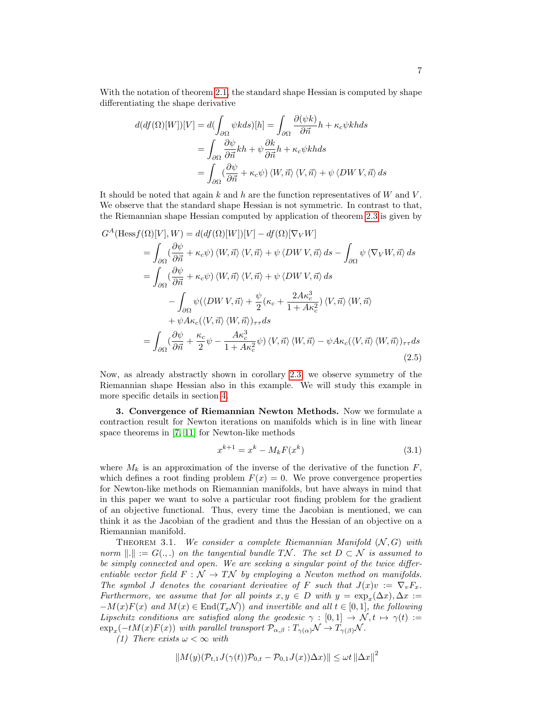With the notation of theorem [2.1,](#page-2-0) the standard shape Hessian is computed by shape differentiating the shape derivative

$$
d(df(\Omega)[W])[V] = d(\int_{\partial\Omega} \psi k ds)[h] = \int_{\partial\Omega} \frac{\partial(\psi k)}{\partial \vec{n}} h + \kappa_c \psi k h ds
$$
  
= 
$$
\int_{\partial\Omega} \frac{\partial \psi}{\partial \vec{n}} k h + \psi \frac{\partial k}{\partial \vec{n}} h + \kappa_c \psi k h ds
$$
  
= 
$$
\int_{\partial\Omega} (\frac{\partial \psi}{\partial \vec{n}} + \kappa_c \psi) \langle W, \vec{n} \rangle \langle V, \vec{n} \rangle + \psi \langle DW V, \vec{n} \rangle ds
$$

It should be noted that again  $k$  and  $h$  are the function representatives of  $W$  and  $V$ . We observe that the standard shape Hessian is not symmetric. In contrast to that, the Riemannian shape Hessian computed by application of theorem [2.3](#page-4-1) is given by

$$
G^{A}(\text{Hess}f(\Omega)[V], W) = d(df(\Omega)[W])[V] - df(\Omega)[\nabla_{V}W]
$$
  
\n
$$
= \int_{\partial\Omega} (\frac{\partial\psi}{\partial\vec{n}} + \kappa_{c}\psi) \langle W, \vec{n} \rangle \langle V, \vec{n} \rangle + \psi \langle DW V, \vec{n} \rangle ds - \int_{\partial\Omega} \psi \langle \nabla_{V}W, \vec{n} \rangle ds
$$
  
\n
$$
= \int_{\partial\Omega} (\frac{\partial\psi}{\partial\vec{n}} + \kappa_{c}\psi) \langle W, \vec{n} \rangle \langle V, \vec{n} \rangle + \psi \langle DW V, \vec{n} \rangle ds
$$
  
\n
$$
- \int_{\partial\Omega} \psi (\langle DW V, \vec{n} \rangle + \frac{\psi}{2} (\kappa_{c} + \frac{2A\kappa_{c}^{3}}{1 + A\kappa_{c}^{2}}) \langle V, \vec{n} \rangle \langle W, \vec{n} \rangle
$$
  
\n
$$
+ \psi A\kappa_{c} (\langle V, \vec{n} \rangle \langle W, \vec{n} \rangle)_{\tau\tau} ds
$$
  
\n
$$
= \int_{\partial\Omega} (\frac{\partial\psi}{\partial\vec{n}} + \frac{\kappa_{c}}{2} \psi - \frac{A\kappa_{c}^{3}}{1 + A\kappa_{c}^{2}} \psi) \langle V, \vec{n} \rangle \langle W, \vec{n} \rangle - \psi A\kappa_{c} (\langle V, \vec{n} \rangle \langle W, \vec{n} \rangle)_{\tau\tau} ds
$$
(2.5)

Now, as already abstractly shown in corollary [2.3,](#page-4-1) we observe symmetry of the Riemannian shape Hessian also in this example. We will study this example in more specific details in section [4.](#page-10-0)

<span id="page-6-0"></span>3. Convergence of Riemannian Newton Methods. Now we formulate a contraction result for Newton iterations on manifolds which is in line with linear space theorems in [\[7,](#page-13-19) [11\]](#page-13-20) for Newton-like methods

<span id="page-6-3"></span><span id="page-6-2"></span>
$$
x^{k+1} = x^k - M_k F(x^k)
$$
\n(3.1)

where  $M_k$  is an approximation of the inverse of the derivative of the function  $F$ , which defines a root finding problem  $F(x) = 0$ . We prove convergence properties for Newton-like methods on Riemannian manifolds, but have always in mind that in this paper we want to solve a particular root finding problem for the gradient of an objective functional. Thus, every time the Jacobian is mentioned, we can think it as the Jacobian of the gradient and thus the Hessian of an objective on a Riemannian manifold.

<span id="page-6-1"></span>THEOREM 3.1. We consider a complete Riemannian Manifold  $(N, G)$  with norm  $\Vert . \Vert := G(.,.)$  on the tangential bundle TN. The set  $D \subset \mathcal{N}$  is assumed to be simply connected and open. We are seeking a singular point of the twice differentiable vector field  $F : \mathcal{N} \to \mathcal{TN}$  by employing a Newton method on manifolds. The symbol J denotes the covariant derivative of F such that  $J(x)v := \nabla_v F_x$ . Furthermore, we assume that for all points  $x, y \in D$  with  $y = \exp_x(\Delta x), \Delta x :=$  $-M(x)F(x)$  and  $M(x) \in \text{End}(T_x\mathcal{N})$  and invertible and all  $t \in [0,1]$ , the following Lipschitz conditions are satisfied along the geodesic  $\gamma : [0,1] \to \mathcal{N}, t \mapsto \gamma(t) :=$  $\exp_x(-tM(x)F(x))$  with parallel transport  $\mathcal{P}_{\alpha,\beta}:T_{\gamma(\alpha)}\mathcal{N}\to T_{\gamma(\beta)}\mathcal{N}$ .

(1) There exists  $\omega < \infty$  with

$$
||M(y)(\mathcal{P}_{t,1}J(\gamma(t))\mathcal{P}_{0,t} - \mathcal{P}_{0,1}J(x))\Delta x)|| \leq \omega t ||\Delta x||^2
$$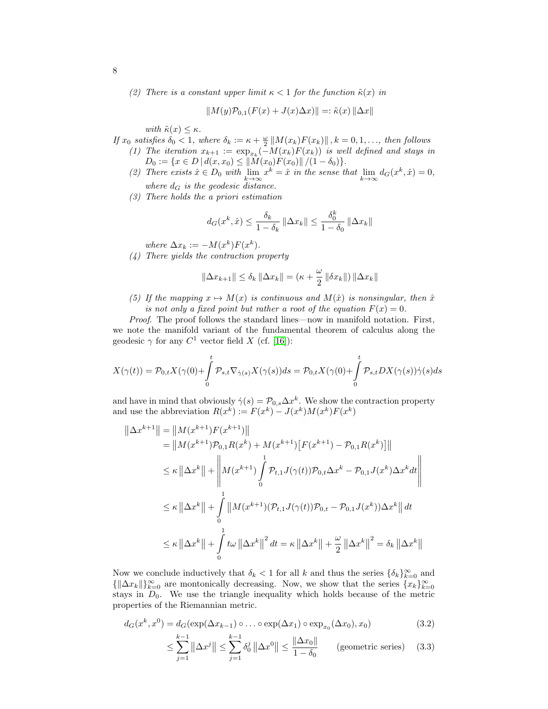(2) There is a constant upper limit  $\kappa < 1$  for the function  $\tilde{\kappa}(x)$  in

$$
||M(y)\mathcal{P}_{0,1}(F(x) + J(x)\Delta x)|| =: \tilde{\kappa}(x) ||\Delta x||
$$

with  $\tilde{\kappa}(x) \leq \kappa$ .

If  $x_0$  satisfies  $\delta_0 < 1$ , where  $\delta_k := \kappa + \frac{\omega}{2} ||M(x_k)F(x_k)||$ ,  $k = 0, 1, \ldots$ , then follows

- (1) The iteration  $x_{k+1} := \exp_{x_k}(-M(x_k)F(x_k))$  is well defined and stays in  $D_0 := \{x \in D \mid d(x, x_0) \leq ||M(x_0)F(x_0)|| / (1 - \delta_0) \}.$ 
	- (2) There exists  $\hat{x} \in D_0$  with  $\lim_{k \to \infty} x^k = \hat{x}$  in the sense that  $\lim_{k \to \infty} d_G(x^k, \hat{x}) = 0$ , where  $d_G$  is the geodesic distance.
	- (3) There holds the a priori estimation

$$
d_G(x^k, \hat{x}) \le \frac{\delta_k}{1 - \delta_k} \left\| \Delta x_k \right\| \le \frac{\delta_0^k}{1 - \delta_0} \left\| \Delta x_k \right\|
$$

where  $\Delta x_k := -M(x^k)F(x^k)$ .

(4) There yields the contraction property

$$
\|\Delta x_{k+1}\| \le \delta_k \|\Delta x_k\| = (\kappa + \frac{\omega}{2} \|\delta x_k\|) \|\Delta x_k\|
$$

(5) If the mapping  $x \mapsto M(x)$  is continuous and  $M(\hat{x})$  is nonsingular, then  $\hat{x}$ is not only a fixed point but rather a root of the equation  $F(x) = 0$ .

Proof. The proof follows the standard lines—now in manifold notation. First, we note the manifold variant of the fundamental theorem of calculus along the geodesic  $\gamma$  for any  $C^1$  vector field X (cf. [\[16\]](#page-13-21)):

$$
X(\gamma(t)) = \mathcal{P}_{0,t} X(\gamma(0) + \int_{0}^{t} \mathcal{P}_{s,t} \nabla_{\dot{\gamma}(s)} X(\gamma(s)) ds = \mathcal{P}_{0,t} X(\gamma(0) + \int_{0}^{t} \mathcal{P}_{s,t} DX(\gamma(s)) \dot{\gamma}(s) ds
$$

and have in mind that obviously  $\dot{\gamma}(s) = \mathcal{P}_{0,s} \Delta x^k$ . We show the contraction property and use the abbreviation  $R(x^k) := F(x^k) - J(x^k)M(x^k)F(x^k)$ 

$$
\|\Delta x^{k+1}\| = \|M(x^{k+1})F(x^{k+1})\| \n= \|M(x^{k+1})\mathcal{P}_{0,1}R(x^k) + M(x^{k+1})[F(x^{k+1}) - \mathcal{P}_{0,1}R(x^k)]\| \n\le \kappa \|\Delta x^k\| + \left\|M(x^{k+1})\int_0^1 \mathcal{P}_{t,1}J(\gamma(t))\mathcal{P}_{0,t}\Delta x^k - \mathcal{P}_{0,1}J(x^k)\Delta x^k dt\right\| \n\le \kappa \|\Delta x^k\| + \int_0^1 \|M(x^{k+1})(\mathcal{P}_{t,1}J(\gamma(t))\mathcal{P}_{0,t} - \mathcal{P}_{0,1}J(x^k))\Delta x^k\| dt \n\le \kappa \|\Delta x^k\| + \int_0^1 t\omega \|\Delta x^k\|^2 dt = \kappa \|\Delta x^k\| + \frac{\omega}{2} \|\Delta x^k\|^2 = \delta_k \|\Delta x^k\|
$$

Now we conclude inductively that  $\delta_k < 1$  for all k and thus the series  $\{\delta_k\}_{k=0}^{\infty}$  and  $\{\|\Delta x_k\|\}_{k=0}^{\infty}$  are montonically decreasing. Now, we show that the series  $\{x_k\}_{k=0}^{\infty}$ stays in  $D_0$ . We use the triangle inequality which holds because of the metric properties of the Riemannian metric.

$$
d_G(x^k, x^0) = d_G(\exp(\Delta x_{k-1}) \circ \dots \circ \exp(\Delta x_1) \circ \exp_{x_0}(\Delta x_0), x_0)
$$
\n(3.2)

<span id="page-7-1"></span><span id="page-7-0"></span>
$$
\leq \sum_{j=1}^{k-1} \left\| \Delta x^j \right\| \leq \sum_{j=1}^{k-1} \delta_0^j \left\| \Delta x^0 \right\| \leq \frac{\left\| \Delta x_0 \right\|}{1 - \delta_0} \qquad \text{(geometric series)} \tag{3.3}
$$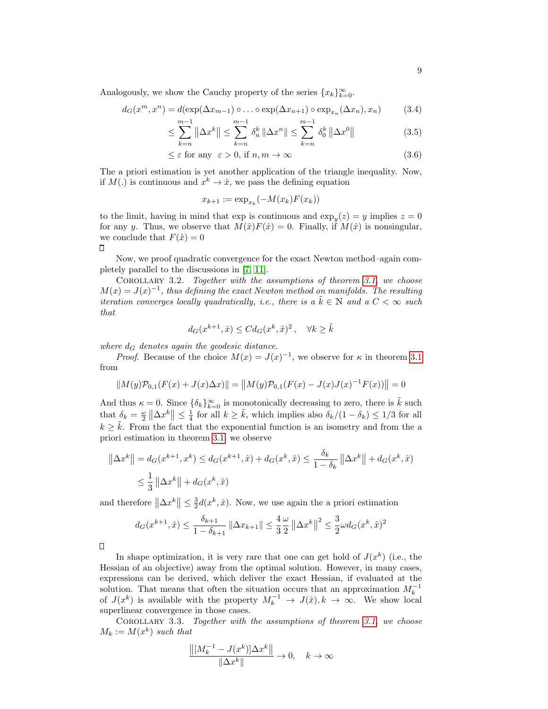Analogously, we show the Cauchy property of the series  ${x_k}_{k=0}^{\infty}$ .

$$
d_G(x^m, x^n) = d(\exp(\Delta x_{m-1}) \circ \dots \circ \exp(\Delta x_{n+1}) \circ \exp_{x_n}(\Delta x_n), x_n)
$$
(3.4)  

$$
m-1 \qquad m-1
$$

$$
\leq \sum_{k=n}^{m-1} \left\| \Delta x^k \right\| \leq \sum_{k=n}^{m-1} \delta_n^k \left\| \Delta x^n \right\| \leq \sum_{k=n}^{m-1} \delta_0^k \left\| \Delta x^0 \right\| \tag{3.5}
$$

$$
\leq \varepsilon \text{ for any } \varepsilon > 0, \text{ if } n, m \to \infty \tag{3.6}
$$

The a priori estimation is yet another application of the triangle inequality. Now, if  $M(.)$  is continuous and  $x^k \to \hat{x}$ , we pass the defining equation

<span id="page-8-3"></span><span id="page-8-2"></span><span id="page-8-0"></span>
$$
x_{k+1} := \exp_{x_k}(-M(x_k)F(x_k))
$$

to the limit, having in mind that  $\exp$  is continuous and  $\exp_y(z) = y$  implies  $z = 0$ for any y. Thus, we observe that  $M(\hat{x})F(\hat{x})=0$ . Finally, if  $M(\hat{x})$  is nonsingular, we conclude that  $F(\hat{x}) = 0$  $\Box$ 

Now, we proof quadratic convergence for the exact Newton method–again completely parallel to the discussions in [\[7,](#page-13-19) [11\]](#page-13-20).

COROLLARY 3.2. Together with the assumptions of theorem [3.1,](#page-6-1) we choose  $M(x) = J(x)^{-1}$ , thus defining the exact Newton method on manifolds. The resulting iteration converges locally quadratically, i.e., there is a  $\tilde{k} \in \mathbb{N}$  and a  $C < \infty$  such that

$$
d_G(x^{k+1}, \hat{x}) \le C d_G(x^k, \hat{x})^2, \quad \forall k \ge \tilde{k}
$$

where  $d_G$  denotes again the geodesic distance.

*Proof.* Because of the choice  $M(x) = J(x)^{-1}$ , we observe for  $\kappa$  in theorem [3.1](#page-6-1) from

$$
||M(y)\mathcal{P}_{0,1}(F(x) + J(x)\Delta x)|| = ||M(y)\mathcal{P}_{0,1}(F(x) - J(x)J(x)^{-1}F(x))|| = 0
$$

And thus  $\kappa = 0$ . Since  $\{\delta_k\}_{k=0}^{\infty}$  is monotonically decreasing to zero, there is  $\tilde{k}$  such that  $\delta_k = \frac{\omega}{2} \left\| \Delta x^k \right\| \le \frac{1}{4}$  for all  $k \ge \tilde{k}$ , which implies also  $\delta_k/(1 - \delta_k) \le 1/3$  for all  $k \geq k$ . From the fact that the exponential function is an isometry and from the a priori estimation in theorem [3.1,](#page-6-1) we observe

$$
\|\Delta x^{k}\| = d_{G}(x^{k+1}, x^{k}) \le d_{G}(x^{k+1}, \hat{x}) + d_{G}(x^{k}, \hat{x}) \le \frac{\delta_{k}}{1 - \delta_{k}} \|\Delta x^{k}\| + d_{G}(x^{k}, \hat{x})
$$
  

$$
\le \frac{1}{3} \|\Delta x^{k}\| + d_{G}(x^{k}, \hat{x})
$$

and therefore  $\left\|\Delta x^k\right\| \leq \frac{3}{2}d(x^k, \hat{x})$ . Now, we use again the a priori estimation

$$
d_G(x^{k+1}, \hat{x}) \le \frac{\delta_{k+1}}{1 - \delta_{k+1}} \left\| \Delta x_{k+1} \right\| \le \frac{4}{3} \frac{\omega}{2} \left\| \Delta x^k \right\|^2 \le \frac{3}{2} \omega d_G(x^k, \hat{x})^2
$$

 $\Box$ 

In shape optimization, it is very rare that one can get hold of  $J(x^k)$  (i.e., the Hessian of an objective) away from the optimal solution. However, in many cases, expressions can be derived, which deliver the exact Hessian, if evaluated at the solution. That means that often the situation occurs that an approximation  $M_k^{-1}$ <br>of  $J(x^k)$  is available with the property  $M_k^{-1} \to J(\hat{x}), k \to \infty$ . We show local superlinear convergence in those cases.

COROLLARY 3.3. Together with the assumptions of theorem [3.1,](#page-6-1) we choose  $M_k := M(x^k)$  such that

<span id="page-8-1"></span>
$$
\frac{\left\|\left[M_k^{-1}-J(x^k)\right]\!\Delta x^k\right\|}{\|\Delta x^k\|}\to 0,\quad k\to\infty
$$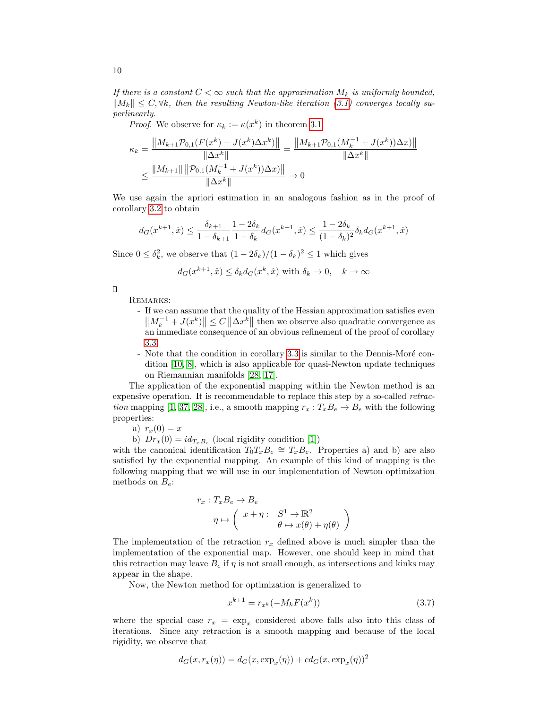If there is a constant  $C < \infty$  such that the approximation  $M_k$  is uniformly bounded,  $||M_k|| \leq C, \forall k$ , then the resulting Newton-like iteration [\(3.1\)](#page-6-2) converges locally superlinearly.

*Proof.* We observe for  $\kappa_k := \kappa(x^k)$  in theorem [3.1](#page-6-1)

$$
\kappa_k = \frac{\|M_{k+1}\mathcal{P}_{0,1}(F(x^k) + J(x^k)\Delta x^k)\|}{\|\Delta x^k\|} = \frac{\|M_{k+1}\mathcal{P}_{0,1}(M_k^{-1} + J(x^k))\Delta x)\|}{\|\Delta x^k\|}
$$
  

$$
\leq \frac{\|M_{k+1}\| \|\mathcal{P}_{0,1}(M_k^{-1} + J(x^k))\Delta x)\|}{\|\Delta x^k\|} \to 0
$$

We use again the apriori estimation in an analogous fashion as in the proof of corollary [3.2](#page-8-0) to obtain

$$
d_G(x^{k+1}, \hat{x}) \le \frac{\delta_{k+1}}{1 - \delta_{k+1}} \frac{1 - 2\delta_k}{1 - \delta_k} d_G(x^{k+1}, \hat{x}) \le \frac{1 - 2\delta_k}{(1 - \delta_k)^2} \delta_k d_G(x^{k+1}, \hat{x})
$$

Since  $0 \leq \delta_k^2$ , we observe that  $(1 - 2\delta_k)/(1 - \delta_k)^2 \leq 1$  which gives

$$
d_G(x^{k+1}, \hat{x}) \le \delta_k d_G(x^k, \hat{x})
$$
 with  $\delta_k \to 0$ ,  $k \to \infty$ 

 $\Box$ 

Remarks:

- If we can assume that the quality of the Hessian approximation satisfies even  $||M_k^{-1} + J(x^k)|| \leq C ||\Delta x^k||$  then we observe also quadratic convergence as an immediate consequence of an obvious refinement of the proof of corollary [3.3.](#page-8-1)
- Note that the condition in corollary [3.3](#page-8-1) is similar to the Dennis-Moré condition [\[10,](#page-13-22) [8\]](#page-13-23), which is also applicable for quasi-Newton update techniques on Riemannian manifolds [\[28,](#page-14-7) [17\]](#page-13-24).

The application of the exponential mapping within the Newton method is an expensive operation. It is recommendable to replace this step by a so-called retrac-tion mapping [\[1,](#page-13-13) [37,](#page-14-9) [28\]](#page-14-7), i.e., a smooth mapping  $r_x : T_xB_e \to B_e$  with the following properties:

a)  $r_x(0) = x$ 

b)  $Dr_x(0) = id_{T_xB_e}$  (local rigidity condition [\[1\]](#page-13-13))

with the canonical identification  $T_0 T_x B_e \cong T_x B_e$ . Properties a) and b) are also satisfied by the exponential mapping. An example of this kind of mapping is the following mapping that we will use in our implementation of Newton optimization methods on  $B_e$ :

$$
r_x: T_x B_e \to B_e
$$
  
\n
$$
\eta \mapsto \begin{pmatrix} x + \eta: & S^1 \to \mathbb{R}^2 \\ \theta \mapsto x(\theta) + \eta(\theta) \end{pmatrix}
$$

The implementation of the retraction  $r_x$  defined above is much simpler than the implementation of the exponential map. However, one should keep in mind that this retraction may leave  $B_e$  if  $\eta$  is not small enough, as intersections and kinks may appear in the shape.

Now, the Newton method for optimization is generalized to

<span id="page-9-0"></span>
$$
x^{k+1} = r_{x^k}(-M_k F(x^k))
$$
\n(3.7)

where the special case  $r_x = \exp_x$  considered above falls also into this class of iterations. Since any retraction is a smooth mapping and because of the local rigidity, we observe that

$$
d_G(x, r_x(\eta)) = d_G(x, \exp_x(\eta)) + cd_G(x, \exp_x(\eta))^2
$$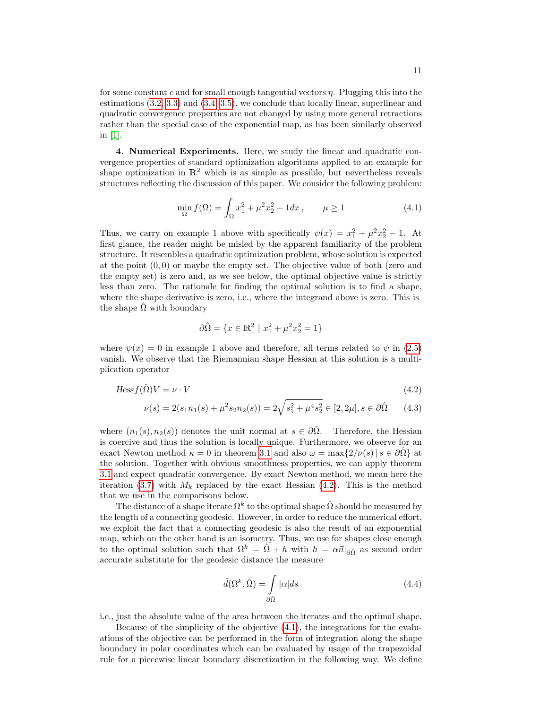for some constant c and for small enough tangential vectors  $\eta$ . Plugging this into the estimations [\(3.2,](#page-7-0) [3.3\)](#page-7-1) and [\(3.4,](#page-8-2) [3.5\)](#page-8-3), we conclude that locally linear, superlinear and quadratic convergence properties are not changed by using more general retractions rather than the special case of the exponential map, as has been similarly observed in  $[1]$ .

<span id="page-10-0"></span>4. Numerical Experiments. Here, we study the linear and quadratic convergence properties of standard optimization algorithms applied to an example for shape optimization in  $\mathbb{R}^2$  which is as simple as possible, but nevertheless reveals structures reflecting the discussion of this paper. We consider the following problem:

<span id="page-10-2"></span>
$$
\min_{\Omega} f(\Omega) = \int_{\Omega} x_1^2 + \mu^2 x_2^2 - 1 dx, \qquad \mu \ge 1
$$
\n(4.1)

Thus, we carry on example 1 above with specifically  $\psi(x) = x_1^2 + \mu^2 x_2^2 - 1$ . At first glance, the reader might be misled by the apparent familiarity of the problem structure. It resembles a quadratic optimization problem, whose solution is expected at the point  $(0, 0)$  or maybe the empty set. The objective value of both (zero and the empty set) is zero and, as we see below, the optimal objective value is strictly less than zero. The rationale for finding the optimal solution is to find a shape, where the shape derivative is zero, i.e., where the integrand above is zero. This is the shape  $\hat{\Omega}$  with boundary

<span id="page-10-1"></span>
$$
\partial \hat{\Omega} = \{ x \in \mathbb{R}^2 \mid x_1^2 + \mu^2 x_2^2 = 1 \}
$$

where  $\psi(x) = 0$  in example 1 above and therefore, all terms related to  $\psi$  in [\(2.5\)](#page-6-3) vanish. We observe that the Riemannian shape Hessian at this solution is a multiplication operator

$$
Hess f(\hat{\Omega})V = \nu \cdot V \tag{4.2}
$$

$$
\nu(s) = 2(s_1 n_1(s) + \mu^2 s_2 n_2(s)) = 2\sqrt{s_1^2 + \mu^4 s_2^2} \in [2, 2\mu], s \in \partial \hat{\Omega} \qquad (4.3)
$$

where  $(n_1(s), n_2(s))$  denotes the unit normal at  $s \in \partial \hat{\Omega}$ . Therefore, the Hessian is coercive and thus the solution is locally unique. Furthermore, we observe for an exact Newton method  $\kappa = 0$  in theorem [3.1](#page-6-1) and also  $\omega = \max\{2/\nu(s) | s \in \partial\Omega\}$  at the solution. Together with obvious smoothness properties, we can apply theorem [3.1](#page-6-1) and expect quadratic convergence. By exact Newton method, we mean here the iteration [\(3.7\)](#page-9-0) with  $M_k$  replaced by the exact Hessian [\(4.2\)](#page-10-1). This is the method that we use in the comparisons below.

The distance of a shape iterate  $\Omega^k$  to the optimal shape  $\hat{\Omega}$  should be measured by the length of a connecting geodesic. However, in order to reduce the numerical effort, we exploit the fact that a connecting geodesic is also the result of an exponential map, which on the other hand is an isometry. Thus, we use for shapes close enough to the optimal solution such that  $\Omega^k = \hat{\Omega} + h$  with  $h = \alpha \vec{n}|_{\partial \hat{\Omega}}$  as second order accurate substitute for the geodesic distance the measure

<span id="page-10-3"></span>
$$
\tilde{d}(\Omega^k, \hat{\Omega}) = \int_{\partial \hat{\Omega}} |\alpha| ds \tag{4.4}
$$

i.e., just the absolute value of the area between the iterates and the optimal shape.

Because of the simplicity of the objective [\(4.1\)](#page-10-2), the integrations for the evaluations of the objective can be performed in the form of integration along the shape boundary in polar coordinates which can be evaluated by usage of the trapezoidal rule for a piecewise linear boundary discretization in the following way. We define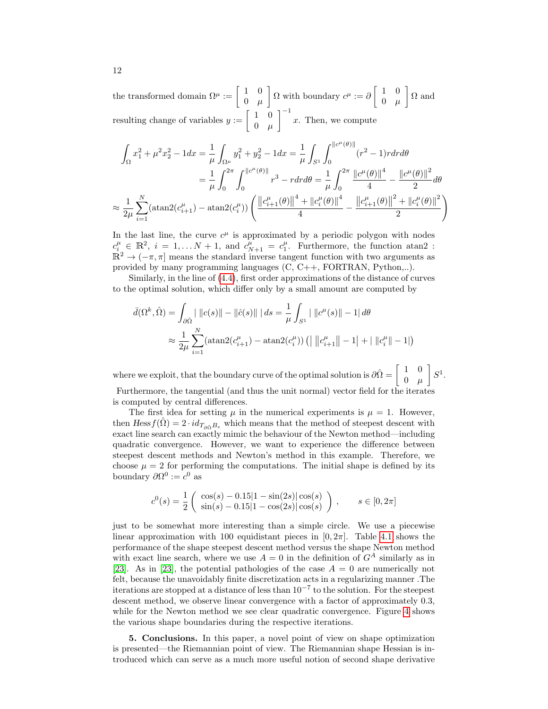the transformed domain  $\Omega^{\mu} := \begin{bmatrix} 1 & 0 \\ 0 & \cdots \end{bmatrix}$  $0 \mu$  $\left[\Omega$  with boundary  $c^{\mu} := \partial \left[\begin{array}{cc} 1 & 0 \\ 0 & \cdots \end{array}\right]\right]$  $0 \mu$  $\big]$  Ω and resulting change of variables  $y := \begin{bmatrix} 1 & 0 \\ 0 & \cdots \end{bmatrix}$  $0 \mu$  $\int_{0}^{-1} x$ . Then, we compute

$$
\int_{\Omega} x_1^2 + \mu^2 x_2^2 - 1 dx = \frac{1}{\mu} \int_{\Omega^{\mu}} y_1^2 + y_2^2 - 1 dx = \frac{1}{\mu} \int_{S^1} \int_0^{\|c^{\mu}(\theta)\|} (r^2 - 1) r dr d\theta
$$

$$
= \frac{1}{\mu} \int_0^{2\pi} \int_0^{\|c^{\mu}(\theta)\|} r^3 - r dr d\theta = \frac{1}{\mu} \int_0^{2\pi} \frac{\|c^{\mu}(\theta)\|^4}{4} - \frac{\|c^{\mu}(\theta)\|^2}{2} d\theta
$$

$$
\approx \frac{1}{2\mu} \sum_{i=1}^N (\text{atan2}(c_{i+1}^{\mu}) - \text{atan2}(c_i^{\mu})) \left( \frac{\|c_{i+1}^{\mu}(\theta)\|^4 + \|c_i^{\mu}(\theta)\|^4}{4} - \frac{\|c_{i+1}^{\mu}(\theta)\|^2 + \|c_i^{\mu}(\theta)\|^2}{2} \right)
$$

In the last line, the curve  $c^{\mu}$  is approximated by a periodic polygon with nodes  $c_i^{\mu} \in \mathbb{R}^2$ ,  $i = 1, \ldots N+1$ , and  $c_{N+1}^{\mu} = c_1^{\mu}$ . Furthermore, the function atan2:  $\mathbb{R}^2 \to (-\pi, \pi]$  means the standard inverse tangent function with two arguments as provided by many programming languages (C, C++, FORTRAN, Python,..).

Similarly, in the line of [\(4.4\)](#page-10-3), first order approximations of the distance of curves to the optimal solution, which differ only by a small amount are computed by

$$
\bar{d}(\Omega^k, \hat{\Omega}) = \int_{\partial \hat{\Omega}} \mid ||c(s)|| - ||\hat{c}(s)|| \mid ds = \frac{1}{\mu} \int_{S^1} \mid ||c^{\mu}(s)|| - 1| \, d\theta
$$
\n
$$
\approx \frac{1}{2\mu} \sum_{i=1}^N (\text{atan2}(c_{i+1}^{\mu}) - \text{atan2}(c_i^{\mu})) \left( \mid ||c_{i+1}^{\mu}|| - 1| + ||c_i^{\mu}|| - 1| \right)
$$

where we exploit, that the boundary curve of the optimal solution is  $\partial \hat{\Omega} = \begin{bmatrix} 1 & 0 \\ 0 & 0 \end{bmatrix}$  $0$   $\mu$  $\Big] S^1.$ 

Furthermore, the tangential (and thus the unit normal) vector field for the iterates is computed by central differences.

The first idea for setting  $\mu$  in the numerical experiments is  $\mu = 1$ . However, then  $Hess f(\hat{\Omega}) = 2 \cdot id_{T_{\hat{\partial}} \hat{\Omega}}$  which means that the method of steepest descent with exact line search can exactly mimic the behaviour of the Newton method—including quadratic convergence. However, we want to experience the difference between steepest descent methods and Newton's method in this example. Therefore, we choose  $\mu = 2$  for performing the computations. The initial shape is defined by its boundary  $\partial \Omega^0 := c^0$  as

$$
c^{0}(s) = \frac{1}{2} \begin{pmatrix} \cos(s) - 0.15|1 - \sin(2s)|\cos(s) \\ \sin(s) - 0.15|1 - \cos(2s)|\cos(s) \end{pmatrix}, \quad s \in [0, 2\pi]
$$

just to be somewhat more interesting than a simple circle. We use a piecewise linear approximation with 100 equidistant pieces in  $[0, 2\pi]$ . Table [4.1](#page-12-0) shows the performance of the shape steepest descent method versus the shape Newton method with exact line search, where we use  $A = 0$  in the definition of  $G<sup>A</sup>$  similarly as in [\[23\]](#page-13-25). As in [23], the potential pathologies of the case  $A = 0$  are numerically not felt, because the unavoidably finite discretization acts in a regularizing manner .The iterations are stopped at a distance of less than 10<sup>−</sup><sup>7</sup> to the solution. For the steepest descent method, we observe linear convergence with a factor of approximately 0.3, while for the Newton method we see clear quadratic convergence. Figure [4](#page-12-0) shows the various shape boundaries during the respective iterations.

5. Conclusions. In this paper, a novel point of view on shape optimization is presented—the Riemannian point of view. The Riemannian shape Hessian is introduced which can serve as a much more useful notion of second shape derivative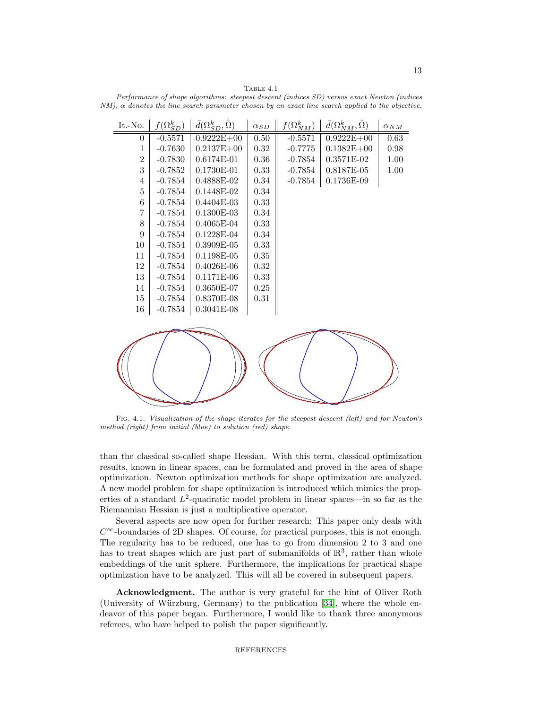<span id="page-12-0"></span>TABLE  $4.1$ Performance of shape algorithms: steepest descent (indices SD) versus exact Newton (indices  $NM$ ),  $\alpha$  denotes the line search parameter chosen by an exact line search applied to the objective.

| It.-No.        | $f(\Omega_{SD}^{k})$ | $\bar{d}(\Omega_{SD}^k, \hat{\Omega})$ | $\alpha_{SD}$ | $f(\Omega^k_{NM})$ | $\bar{d}(\Omega^{k}_{NM},\hat{\Omega})$ | $\alpha_{NM}$ |
|----------------|----------------------|----------------------------------------|---------------|--------------------|-----------------------------------------|---------------|
| $\theta$       | $-0.5571$            | $0.9222E + 00$                         | 0.50          | $-0.5571$          | $0.9222E+00$                            | 0.63          |
| 1              | $-0.7630$            | $0.2137E + 00$                         | 0.32          | $-0.7775$          | $0.1382E + 00$                          | 0.98          |
| $\overline{2}$ | $-0.7830$            | $0.6174E-01$                           | 0.36          | $-0.7854$          | $0.3571E-02$                            | 1.00          |
| 3              | $-0.7852$            | $0.1730E-01$                           | 0.33          | $-0.7854$          | 0.8187E-05                              | 1.00          |
| 4              | $-0.7854$            | 0.4888E-02                             | 0.34          | $-0.7854$          | $0.1736E-09$                            |               |
| 5              | $-0.7854$            | 0.1448E-02                             | 0.34          |                    |                                         |               |
| 6              | $-0.7854$            | $0.4404E-03$                           | 0.33          |                    |                                         |               |
| 7              | $-0.7854$            | $0.1300E-03$                           | 0.34          |                    |                                         |               |
| 8              | $-0.7854$            | $0.4065E-04$                           | 0.33          |                    |                                         |               |
| 9              | $-0.7854$            | $0.1228E-04$                           | 0.34          |                    |                                         |               |
| 10             | $-0.7854$            | $0.3909E-05$                           | 0.33          |                    |                                         |               |
| 11             | $-0.7854$            | $0.1198E-05$                           | 0.35          |                    |                                         |               |
| 12             | $-0.7854$            | $0.4026E-06$                           | 0.32          |                    |                                         |               |
| 13             | $-0.7854$            | $0.1171E-06$                           | 0.33          |                    |                                         |               |
| 14             | $-0.7854$            | $0.3650E-07$                           | 0.25          |                    |                                         |               |
| 15             | $-0.7854$            | 0.8370E-08                             | 0.31          |                    |                                         |               |
| 16             | $-0.7854$            | $0.3041E-08$                           |               |                    |                                         |               |



Fig. 4.1. Visualization of the shape iterates for the steepest descent (left) and for Newton's method (right) from initial (blue) to solution (red) shape.

than the classical so-called shape Hessian. With this term, classical optimization results, known in linear spaces, can be formulated and proved in the area of shape optimization. Newton optimization methods for shape optimization are analyzed. A new model problem for shape optimization is introduced which mimics the properties of a standard  $L^2$ -quadratic model problem in linear spaces—in so far as the Riemannian Hessian is just a multiplicative operator.

Several aspects are now open for further research: This paper only deals with  $C^{\infty}$ -boundaries of 2D shapes. Of course, for practical purposes, this is not enough. The regularity has to be reduced, one has to go from dimension 2 to 3 and one has to treat shapes which are just part of submanifolds of  $\mathbb{R}^3$ , rather than whole embeddings of the unit sphere. Furthermore, the implications for practical shape optimization have to be analyzed. This will all be covered in subsequent papers.

Acknowledgment. The author is very grateful for the hint of Oliver Roth (University of Würzburg, Germany) to the publication [\[34\]](#page-14-10), where the whole endeavor of this paper began. Furthermore, I would like to thank three anonymous referees, who have helped to polish the paper significantly.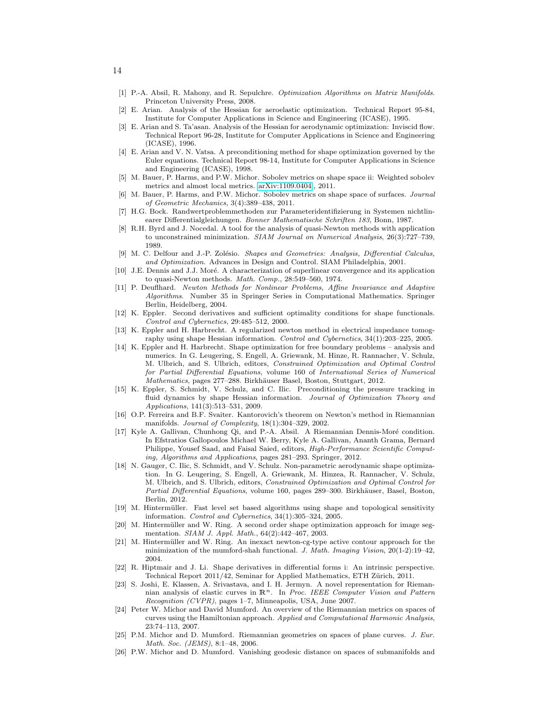- <span id="page-13-13"></span>[1] P.-A. Absil, R. Mahony, and R. Sepulchre. Optimization Algorithms on Matrix Manifolds. Princeton University Press, 2008.
- <span id="page-13-0"></span>[2] E. Arian. Analysis of the Hessian for aeroelastic optimization. Technical Report 95-84, Institute for Computer Applications in Science and Engineering (ICASE), 1995.
- <span id="page-13-1"></span>[3] E. Arian and S. Ta'asan. Analysis of the Hessian for aerodynamic optimization: Inviscid flow. Technical Report 96-28, Institute for Computer Applications in Science and Engineering (ICASE), 1996.
- <span id="page-13-2"></span>[4] E. Arian and V. N. Vatsa. A preconditioning method for shape optimization governed by the Euler equations. Technical Report 98-14, Institute for Computer Applications in Science and Engineering (ICASE), 1998.
- <span id="page-13-18"></span>[5] M. Bauer, P. Harms, and P.W. Michor. Sobolev metrics on shape space ii: Weighted sobolev metrics and almost local metrics. [arXiv:1109.0404.](http://arxiv.org/abs/1109.0404), 2011.
- <span id="page-13-17"></span>[6] M. Bauer, P. Harms, and P.W. Michor. Sobolev metrics on shape space of surfaces. Journal of Geometric Mechanics, 3(4):389–438, 2011.
- <span id="page-13-19"></span>[7] H.G. Bock. Randwertproblemmethoden zur Parameteridentifizierung in Systemen nichtlinearer Differentialgleichungen. Bonner Mathematische Schriften 183, Bonn, 1987.
- <span id="page-13-23"></span>[8] R.H. Byrd and J. Nocedal. A tool for the analysis of quasi-Newton methods with application to unconstrained minimization. SIAM Journal on Numerical Analysis, 26(3):727–739, 1989.
- <span id="page-13-5"></span>[9] M. C. Delfour and J.-P. Zolésio. Shapes and Geometries: Analysis, Differential Calculus, and Optimization. Advances in Design and Control. SIAM Philadelphia, 2001.
- <span id="page-13-22"></span>[10] J.E. Dennis and J.J. Moré. A characterization of superlinear convergence and its application to quasi-Newton methods. Math. Comp., 28:549–560, 1974.
- <span id="page-13-20"></span>[11] P. Deuflhard. Newton Methods for Nonlinear Problems, Affine Invariance and Adaptive Algorithms. Number 35 in Springer Series in Computational Mathematics. Springer Berlin, Heidelberg, 2004.
- <span id="page-13-7"></span>[12] K. Eppler. Second derivatives and sufficient optimality conditions for shape functionals. Control and Cybernetics, 29:485–512, 2000.
- <span id="page-13-6"></span>[13] K. Eppler and H. Harbrecht. A regularized newton method in electrical impedance tomography using shape Hessian information. Control and Cybernetics, 34(1):203–225, 2005.
- <span id="page-13-8"></span>[14] K. Eppler and H. Harbrecht. Shape optimization for free boundary problems – analysis and numerics. In G. Leugering, S. Engell, A. Griewank, M. Hinze, R. Rannacher, V. Schulz, M. Ulbrich, and S. Ulbrich, editors, Constrained Optimization and Optimal Control for Partial Differential Equations, volume 160 of International Series of Numerical Mathematics, pages 277–288. Birkhäuser Basel, Boston, Stuttgart, 2012.
- <span id="page-13-3"></span>[15] K. Eppler, S. Schmidt, V. Schulz, and C. Ilic. Preconditioning the pressure tracking in fluid dynamics by shape Hessian information. Journal of Optimization Theory and Applications, 141(3):513–531, 2009.
- <span id="page-13-21"></span>[16] O.P. Ferreira and B.F. Svaiter. Kantorovich's theorem on Newton's method in Riemannian manifolds. Journal of Complexity, 18(1):304–329, 2002.
- <span id="page-13-24"></span>[17] Kyle A. Gallivan, Chunhong Qi, and P.-A. Absil. A Riemannian Dennis-Moré condition. In Efstratios Gallopoulos Michael W. Berry, Kyle A. Gallivan, Ananth Grama, Bernard Philippe, Yousef Saad, and Faisal Saied, editors, High-Performance Scientific Computing, Algorithms and Applications, pages 281–293. Springer, 2012.
- <span id="page-13-4"></span>[18] N. Gauger, C. Ilic, S. Schmidt, and V. Schulz. Non-parametric aerodynamic shape optimization. In G. Leugering, S. Engell, A. Griewank, M. Hinzea, R. Rannacher, V. Schulz, M. Ulbrich, and S. Ulbrich, editors, Constrained Optimization and Optimal Control for Partial Differential Equations, volume 160, pages 289-300. Birkhäuser, Basel, Boston, Berlin, 2012.
- <span id="page-13-10"></span>[19] M. Hintermüller. Fast level set based algorithms using shape and topological sensitivity information. Control and Cybernetics, 34(1):305–324, 2005.
- <span id="page-13-11"></span> $[20]$  M. Hintermüller and W. Ring. A second order shape optimization approach for image segmentation. SIAM J. Appl. Math., 64(2):442–467, 2003.
- <span id="page-13-12"></span>[21] M. Hintermüller and W. Ring. An inexact newton-cg-type active contour approach for the minimization of the mumford-shah functional. J. Math. Imaging Vision, 20(1-2):19–42, 2004.
- <span id="page-13-9"></span>[22] R. Hiptmair and J. Li. Shape derivatives in differential forms i: An intrinsic perspective. Technical Report 2011/42, Seminar for Applied Mathematics, ETH Zürich, 2011.
- <span id="page-13-25"></span>[23] S. Joshi, E. Klassen, A. Srivastava, and I. H. Jermyn. A novel representation for Riemannian analysis of elastic curves in  $\mathbb{R}^n$ . In Proc. IEEE Computer Vision and Pattern Recognition (CVPR), pages 1–7, Minneapolis, USA, June 2007.
- <span id="page-13-15"></span>[24] Peter W. Michor and David Mumford. An overview of the Riemannian metrics on spaces of curves using the Hamiltonian approach. Applied and Computational Harmonic Analysis, 23:74–113, 2007.
- <span id="page-13-14"></span>[25] P.M. Michor and D. Mumford. Riemannian geometries on spaces of plane curves. J. Eur. Math. Soc. (JEMS), 8:1–48, 2006.
- <span id="page-13-16"></span>[26] P.W. Michor and D. Mumford. Vanishing geodesic distance on spaces of submanifolds and